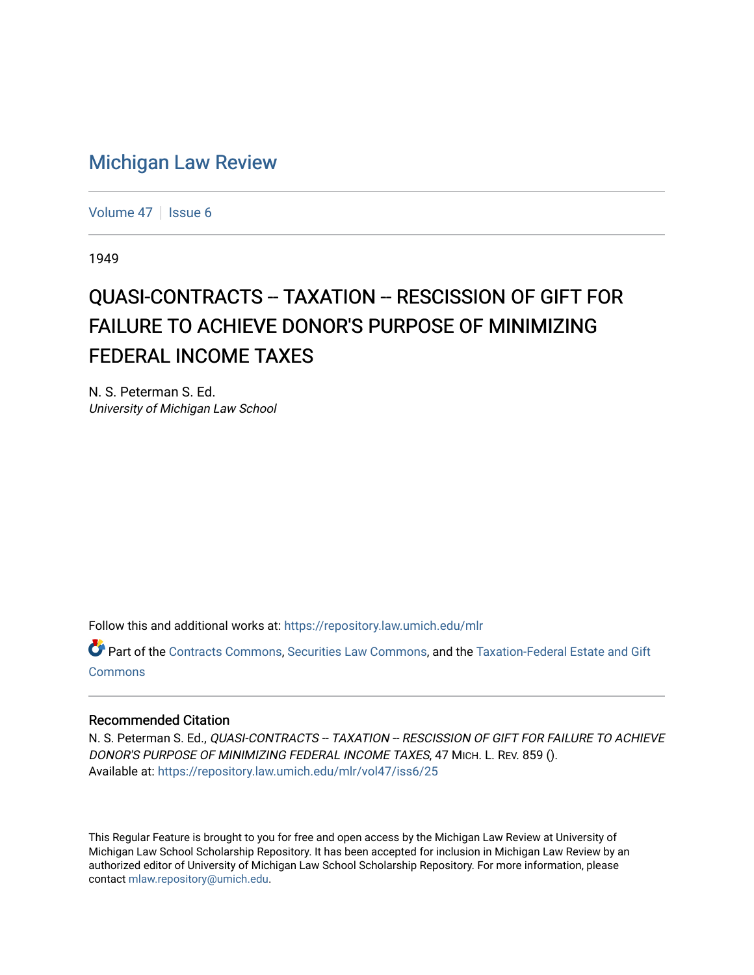## [Michigan Law Review](https://repository.law.umich.edu/mlr)

[Volume 47](https://repository.law.umich.edu/mlr/vol47) | [Issue 6](https://repository.law.umich.edu/mlr/vol47/iss6)

1949

## QUASI-CONTRACTS -- TAXATION -- RESCISSION OF GIFT FOR FAILURE TO ACHIEVE DONOR'S PURPOSE OF MINIMIZING FEDERAL INCOME TAXES

N. S. Peterman S. Ed. University of Michigan Law School

Follow this and additional works at: [https://repository.law.umich.edu/mlr](https://repository.law.umich.edu/mlr?utm_source=repository.law.umich.edu%2Fmlr%2Fvol47%2Fiss6%2F25&utm_medium=PDF&utm_campaign=PDFCoverPages) 

Part of the [Contracts Commons](http://network.bepress.com/hgg/discipline/591?utm_source=repository.law.umich.edu%2Fmlr%2Fvol47%2Fiss6%2F25&utm_medium=PDF&utm_campaign=PDFCoverPages), [Securities Law Commons,](http://network.bepress.com/hgg/discipline/619?utm_source=repository.law.umich.edu%2Fmlr%2Fvol47%2Fiss6%2F25&utm_medium=PDF&utm_campaign=PDFCoverPages) and the [Taxation-Federal Estate and Gift](http://network.bepress.com/hgg/discipline/880?utm_source=repository.law.umich.edu%2Fmlr%2Fvol47%2Fiss6%2F25&utm_medium=PDF&utm_campaign=PDFCoverPages)  [Commons](http://network.bepress.com/hgg/discipline/880?utm_source=repository.law.umich.edu%2Fmlr%2Fvol47%2Fiss6%2F25&utm_medium=PDF&utm_campaign=PDFCoverPages)

## Recommended Citation

N. S. Peterman S. Ed., QUASI-CONTRACTS -- TAXATION -- RESCISSION OF GIFT FOR FAILURE TO ACHIEVE DONOR'S PURPOSE OF MINIMIZING FEDERAL INCOME TAXES, 47 MICH. L. REV. 859 (). Available at: [https://repository.law.umich.edu/mlr/vol47/iss6/25](https://repository.law.umich.edu/mlr/vol47/iss6/25?utm_source=repository.law.umich.edu%2Fmlr%2Fvol47%2Fiss6%2F25&utm_medium=PDF&utm_campaign=PDFCoverPages) 

This Regular Feature is brought to you for free and open access by the Michigan Law Review at University of Michigan Law School Scholarship Repository. It has been accepted for inclusion in Michigan Law Review by an authorized editor of University of Michigan Law School Scholarship Repository. For more information, please contact [mlaw.repository@umich.edu](mailto:mlaw.repository@umich.edu).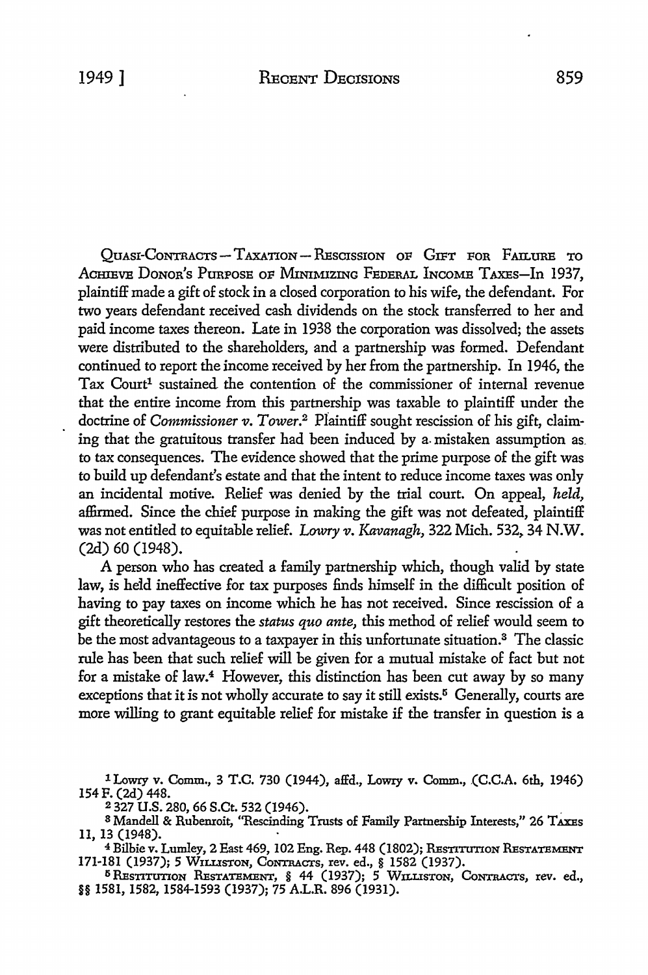QUASI-CONTRACTS - TAXATION- RESCISSION OF GIFT FOR FAIL URE TO ACHIEVE DONOR'S PURPOSE OF MINIMIZING FEDERAL INCOME TAXES-In 1937, plaintiff made a gift of stock in a closed corporation to his wife, the defendant. For two years defendant received cash dividends on the stock transferred to her and paid income taxes thereon. Late in 1938 the corporation was dissolved; the assets were distributed to the shareholders, and a partnership was formed. Defendant continued to report the income received by her from the partnership. In 1946, the Tax Court<sup>1</sup> sustained the contention of the commissioner of internal revenue that the entire income from this partnership was taxable to plaintiff under the doctrine of *Commissioner v. Tower.*2 Plaintiff sought rescission of his gift, claiming that the gratuitous transfer had been induced by a. mistaken assumption as. to tax consequences. The evidence showed that the prime purpose of the gift was to build up defendant's estate and that the intent to reduce income taxes was only an incidental motive. Relief was denied by the trial court. On appeal, *held,*  affirmed. Since the chief purpose in making the gift was not defeated, plaintiff

(2d) 60 (1948). A person who has created a family partnership which, though valid by state law, is heid ineffective for tax purposes finds himself in the difficult position of having to pay taxes on income which he has not received. Since rescission of a gift theoretically restores the *status quo ante,* this method of relief would seem to be the most advantageous to a taxpayer in this unfortunate situation.<sup>3</sup> The classic rule has been that such relief will be given for a mutual mistake of fact but not for a mistake of law.4 However, this distinction has been cut away by so many exceptions that it is not wholly accurate to say it still exists.<sup> $5$ </sup> Generally, courts are more willing to grant equitable relief for mistake if the transfer in question is a

was not entitled to equitable relief. *Lowry v. Kavanagh,* 322 Mich. 532, 34 N.W.

1 Lowry v. Comm., 3 T.C. 730 (1944), affd., Lowry v. Comm., (C.C.A. 6th, 1946) 154 F. (2d) 448.

2 327 **U.S.** 280, 66 S.Ct. 532 (1946). .

3 Mandell & Rubenroit, "Rescinding Trusts of Family Partnership Interests," 26 TAXEs 11, 13 (1948).

4 Bilbie v. Lumley, 2 East 469, 102 Eng. Rep. 448 (1802); REsTITUTION REsTATEMBNT 171-181 (1937); 5 WILLISTON, CoNTRAcrs, rev. ed., § 1582 (1937).

5 REsTITUTION REsTATEMENT, § 44 (1937); 5 WILLISTON, CoNTRAcrs, rev. ed., §§ 1581, 1582, 1584-1593 (1937); 75 A.L.R. 896 (1931).